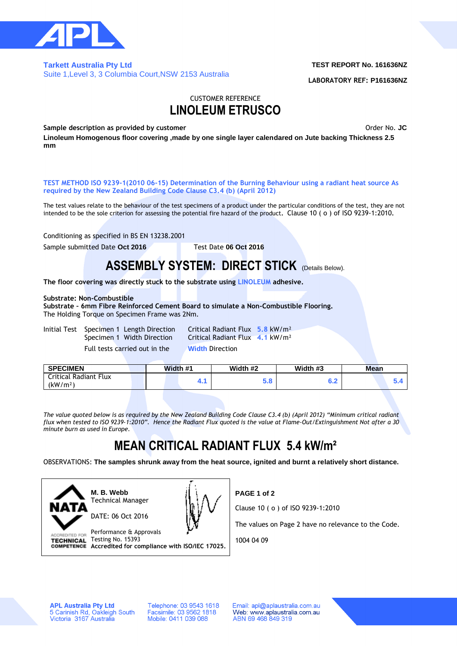

### **Tarkett Australia Pty Ltd**  Suite 1,Level 3, 3 Columbia Court,NSW 2153 Australia

### **TEST REPORT No. 161636NZ**

**LABORATORY REF: P161636NZ**

### CUSTOMER REFERENCE **LINOLEUM ETRUSCO**

**Sample description as provided by customer Community Sample description as provided by customer Order No. JC** 

**Linoleum Homogenous floor covering ,made by one single layer calendared on Jute backing Thickness 2.5 mm**

**TEST METHOD ISO 9239-1(2010 06-15) Determination of the Burning Behaviour using a radiant heat source As required by the New Zealand Building Code Clause C3.4 (b) (April 2012)**

The test values relate to the behaviour of the test specimens of a product under the particular conditions of the test, they are not intended to be the sole criterion for assessing the potential fire hazard of the product**.** Clause 10 ( o ) of ISO 9239-1:2010**.**

Conditioning as specified in BS EN 13238.2001

Sample submitted Date Oct 2016 Test Date 06 Oct 2016

## **ASSEMBLY SYSTEM: DIRECT STICK** (Details Below).

**The floor covering was directly stuck to the substrate using LINOLEUM adhesive.**

### **Substrate: Non-Combustible**

**Substrate – 6mm Fibre Reinforced Cement Board to simulate a Non-Combustible Flooring.** The Holding Torque on Specimen Frame was 2Nm.

Initial Test Specimen 1 Length Direction Critical Radiant Flux **5.8** kW/m² Full tests carried out in the **Width** Direction

Specimen 1 Width Direction Critical Radiant Flux **4.1** kW/m²

| <b>SPECIMEN</b>                               |  | Width #1 |  |  | Width #2 | Width #3 | Mean |  |  |
|-----------------------------------------------|--|----------|--|--|----------|----------|------|--|--|
| Critical Radiant Flux<br>(kW/m <sup>2</sup> ) |  |          |  |  | ວ.ດ      | 0.Z      |      |  |  |
|                                               |  |          |  |  |          |          |      |  |  |

*The value quoted below is as required by the New Zealand Building Code Clause C3.4 (b) (April 2012) "Minimum critical radiant flux when tested to ISO 9239-1:2010". Hence the Radiant Flux quoted is the value at Flame-Out/Extinguishment Not after a 30 minute burn as used in Europe.*

# **MEAN CRITICAL RADIANT FLUX 5.4 kW/m²**

OBSERVATIONS: **The samples shrunk away from the heat source, ignited and burnt a relatively short distance.**



**M. B. Webb** Technical Manager



Performance & Approvals **ACCREDITED FOR** Testing No. 15393 **TECHNICAL Accredited for compliance with ISO/IEC 17025.** **PAGE 1 of 2**

Clause 10 ( o ) of ISO 9239-1:2010

The values on Page 2 have no relevance to the Code.

1004 04 09

**APL Australia Pty Ltd** 5 Carinish Rd, Oakleigh South<br>Victoria 3167 Australia

Telephone: 03 9543 1618 Facsimile: 03 9562 1818<br>Mobile: 0411 039 088

Email: apl@aplaustralia.com.au Web: www.aplaustralia.com.au ABN 69 468 849 319